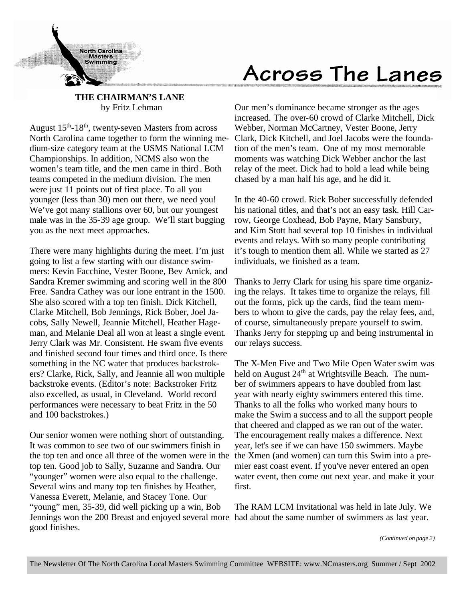

# Across The Lanes

### **THE CHAIRMAN'S LANE** by Fritz Lehman

August  $15<sup>th</sup> - 18<sup>th</sup>$ , twenty-seven Masters from across North Carolina came together to form the winning medium-size category team at the USMS National LCM Championships. In addition, NCMS also won the women's team title, and the men came in third . Both teams competed in the medium division. The men were just 11 points out of first place. To all you younger (less than 30) men out there, we need you! We've got many stallions over 60, but our youngest male was in the 35-39 age group. We'll start bugging you as the next meet approaches.

There were many highlights during the meet. I'm just going to list a few starting with our distance swimmers: Kevin Facchine, Vester Boone, Bev Amick, and Sandra Kremer swimming and scoring well in the 800 Free. Sandra Cathey was our lone entrant in the 1500. She also scored with a top ten finish. Dick Kitchell, Clarke Mitchell, Bob Jennings, Rick Bober, Joel Jacobs, Sally Newell, Jeannie Mitchell, Heather Hageman, and Melanie Deal all won at least a single event. Jerry Clark was Mr. Consistent. He swam five events and finished second four times and third once. Is there something in the NC water that produces backstrokers? Clarke, Rick, Sally, and Jeannie all won multiple backstroke events. (Editor's note: Backstroker Fritz also excelled, as usual, in Cleveland. World record performances were necessary to beat Fritz in the 50 and 100 backstrokes.)

Our senior women were nothing short of outstanding. It was common to see two of our swimmers finish in the top ten and once all three of the women were in the top ten. Good job to Sally, Suzanne and Sandra. Our "younger" women were also equal to the challenge. Several wins and many top ten finishes by Heather, Vanessa Everett, Melanie, and Stacey Tone. Our "young" men, 35-39, did well picking up a win, Bob Jennings won the 200 Breast and enjoyed several more had about the same number of swimmers as last year. good finishes.

Our men's dominance became stronger as the ages increased. The over-60 crowd of Clarke Mitchell, Dick Webber, Norman McCartney, Vester Boone, Jerry Clark, Dick Kitchell, and Joel Jacobs were the foundation of the men's team. One of my most memorable moments was watching Dick Webber anchor the last relay of the meet. Dick had to hold a lead while being chased by a man half his age, and he did it.

In the 40-60 crowd. Rick Bober successfully defended his national titles, and that's not an easy task. Hill Carrow, George Coxhead, Bob Payne, Mary Sansbury, and Kim Stott had several top 10 finishes in individual events and relays. With so many people contributing it's tough to mention them all. While we started as 27 individuals, we finished as a team.

Thanks to Jerry Clark for using his spare time organizing the relays. It takes time to organize the relays, fill out the forms, pick up the cards, find the team members to whom to give the cards, pay the relay fees, and, of course, simultaneously prepare yourself to swim. Thanks Jerry for stepping up and being instrumental in our relays success.

The X-Men Five and Two Mile Open Water swim was held on August  $24<sup>th</sup>$  at Wrightsville Beach. The number of swimmers appears to have doubled from last year with nearly eighty swimmers entered this time. Thanks to all the folks who worked many hours to make the Swim a success and to all the support people that cheered and clapped as we ran out of the water. The encouragement really makes a difference. Next year, let's see if we can have 150 swimmers. Maybe the Xmen (and women) can turn this Swim into a premier east coast event. If you've never entered an open water event, then come out next year. and make it your first.

The RAM LCM Invitational was held in late July. We

*(Continued on page 2)*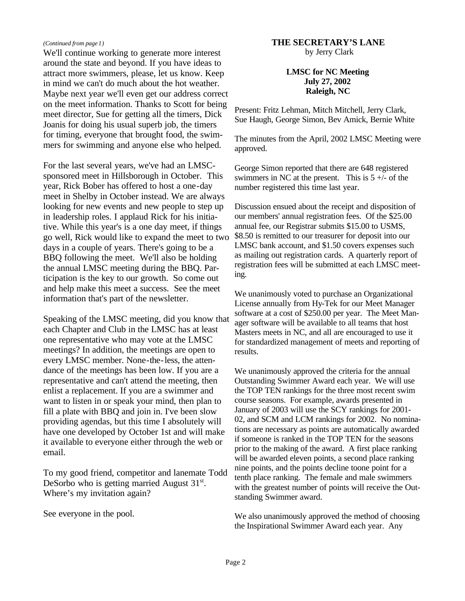#### *(Continued from page 1)*

We'll continue working to generate more interest around the state and beyond. If you have ideas to attract more swimmers, please, let us know. Keep in mind we can't do much about the hot weather. Maybe next year we'll even get our address correct on the meet information. Thanks to Scott for being meet director, Sue for getting all the timers, Dick Joanis for doing his usual superb job, the timers for timing, everyone that brought food, the swimmers for swimming and anyone else who helped.

For the last several years, we've had an LMSCsponsored meet in Hillsborough in October. This year, Rick Bober has offered to host a one-day meet in Shelby in October instead. We are always looking for new events and new people to step up in leadership roles. I applaud Rick for his initiative. While this year's is a one day meet, if things go well, Rick would like to expand the meet to two days in a couple of years. There's going to be a BBQ following the meet. We'll also be holding the annual LMSC meeting during the BBQ. Participation is the key to our growth. So come out and help make this meet a success. See the meet information that's part of the newsletter.

Speaking of the LMSC meeting, did you know that each Chapter and Club in the LMSC has at least one representative who may vote at the LMSC meetings? In addition, the meetings are open to every LMSC member. None-the-less, the attendance of the meetings has been low. If you are a representative and can't attend the meeting, then enlist a replacement. If you are a swimmer and want to listen in or speak your mind, then plan to fill a plate with BBQ and join in. I've been slow providing agendas, but this time I absolutely will have one developed by October 1st and will make it available to everyone either through the web or email.

To my good friend, competitor and lanemate Todd DeSorbo who is getting married August  $31<sup>st</sup>$ . Where's my invitation again?

See everyone in the pool.

### **THE SECRETARY'S LANE**

by Jerry Clark

### **LMSC for NC Meeting July 27, 2002 Raleigh, NC**

Present: Fritz Lehman, Mitch Mitchell, Jerry Clark, Sue Haugh, George Simon, Bev Amick, Bernie White

The minutes from the April, 2002 LMSC Meeting were approved.

George Simon reported that there are 648 registered swimmers in NC at the present. This is  $5 +/-$  of the number registered this time last year.

Discussion ensued about the receipt and disposition of our members' annual registration fees. Of the \$25.00 annual fee, our Registrar submits \$15.00 to USMS, \$8.50 is remitted to our treasurer for deposit into our LMSC bank account, and \$1.50 covers expenses such as mailing out registration cards. A quarterly report of registration fees will be submitted at each LMSC meeting.

We unanimously voted to purchase an Organizational License annually from Hy-Tek for our Meet Manager software at a cost of \$250.00 per year. The Meet Manager software will be available to all teams that host Masters meets in NC, and all are encouraged to use it for standardized management of meets and reporting of results.

We unanimously approved the criteria for the annual Outstanding Swimmer Award each year. We will use the TOP TEN rankings for the three most recent swim course seasons. For example, awards presented in January of 2003 will use the SCY rankings for 2001- 02, and SCM and LCM rankings for 2002. No nominations are necessary as points are automatically awarded if someone is ranked in the TOP TEN for the seasons prior to the making of the award. A first place ranking will be awarded eleven points, a second place ranking nine points, and the points decline toone point for a tenth place ranking. The female and male swimmers with the greatest number of points will receive the Outstanding Swimmer award.

We also unanimously approved the method of choosing the Inspirational Swimmer Award each year. Any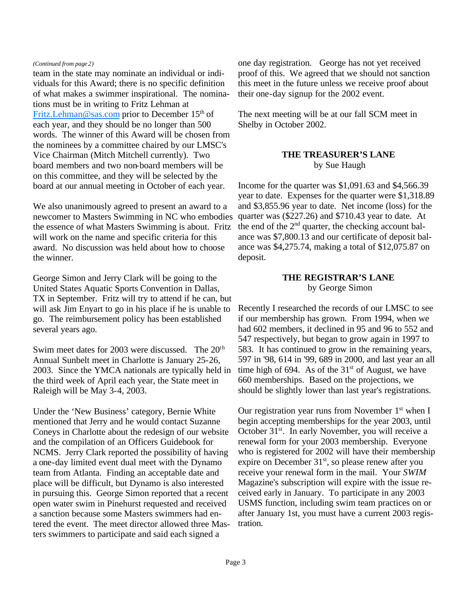#### *(Continued from page 2)*

team in the state may nominate an individual or individuals for this Award; there is no specific definition of what makes a swimmer inspirational. The nominations must be in writing to Fritz Lehman at Fritz.Lehman@sas.com prior to December  $15<sup>th</sup>$  of each year, and they should be no longer than 500 words. The winner of this Award will be chosen from the nominees by a committee chaired by our LMSC's Vice Chairman (Mitch Mitchell currently). Two board members and two non-board members will be on this committee, and they will be selected by the board at our annual meeting in October of each year.

We also unanimously agreed to present an award to a newcomer to Masters Swimming in NC who embodies the essence of what Masters Swimming is about. Fritz will work on the name and specific criteria for this award. No discussion was held about how to choose the winner.

George Simon and Jerry Clark will be going to the United States Aquatic Sports Convention in Dallas, TX in September. Fritz will try to attend if he can, but will ask Jim Enyart to go in his place if he is unable to go. The reimbursement policy has been established several years ago.

Swim meet dates for 2003 were discussed. The 20<sup>th</sup> Annual Sunbelt meet in Charlotte is January 25-26, 2003. Since the YMCA nationals are typically held in the third week of April each year, the State meet in Raleigh will be May 3-4, 2003.

Under the 'New Business' category, Bernie White mentioned that Jerry and he would contact Suzanne Coneys in Charlotte about the redesign of our website and the compilation of an Officers Guidebook for NCMS. Jerry Clark reported the possibility of having a one-day limited event dual meet with the Dynamo team from Atlanta. Finding an acceptable date and place will be difficult, but Dynamo is also interested in pursuing this. George Simon reported that a recent open water swim in Pinehurst requested and received a sanction because some Masters swimmers had entered the event. The meet director allowed three Masters swimmers to participate and said each signed a

one day registration. George has not yet received proof of this. We agreed that we should not sanction this meet in the future unless we receive proof about their one-day signup for the 2002 event.

The next meeting will be at our fall SCM meet in Shelby in October 2002.

### **THE TREASURER'S LANE** by Sue Haugh

Income for the quarter was \$1,091.63 and \$4,566.39 year to date. Expenses for the quarter were \$1,318.89 and \$3,855.96 year to date. Net income (loss) for the quarter was (\$227.26) and \$710.43 year to date. At the end of the  $2<sup>nd</sup>$  quarter, the checking account balance was \$7,800.13 and our certificate of deposit balance was \$4,275.74, making a total of \$12,075.87 on deposit.

### **THE REGISTRAR'S LANE** by George Simon

Recently I researched the records of our LMSC to see if our membership has grown. From 1994, when we had 602 members, it declined in 95 and 96 to 552 and 547 respectively, but began to grow again in 1997 to 583. It has continued to grow in the remaining years, 597 in '98, 614 in '99, 689 in 2000, and last year an all time high of 694. As of the  $31<sup>st</sup>$  of August, we have 660 memberships. Based on the projections, we should be slightly lower than last year's registrations.

Our registration year runs from November  $1<sup>st</sup>$  when I begin accepting memberships for the year 2003, until October 31<sup>st</sup>. In early November, you will receive a renewal form for your 2003 membership. Everyone who is registered for 2002 will have their membership expire on December  $31<sup>st</sup>$ , so please renew after you receive your renewal form in the mail. Your *SWIM* Magazine's subscription will expire with the issue received early in January. To participate in any 2003 USMS function, including swim team practices on or after January 1st, you must have a current 2003 registration.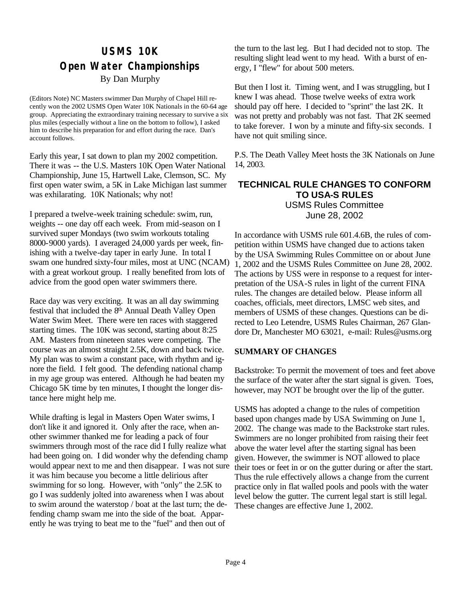### **USMS 10K Open Water Championships** By Dan Murphy

(Editors Note) NC Masters swimmer Dan Murphy of Chapel Hill recently won the 2002 USMS Open Water 10K Nationals in the 60-64 age group. Appreciating the extraordinary training necessary to survive a six plus miles (especially without a line on the bottom to follow), I asked him to describe his preparation for and effort during the race. Dan's account follows.

Early this year, I sat down to plan my 2002 competition. There it was -- the U.S. Masters 10K Open Water National Championship, June 15, Hartwell Lake, Clemson, SC. My first open water swim, a 5K in Lake Michigan last summer was exhilarating. 10K Nationals; why not!

I prepared a twelve-week training schedule: swim, run, weights -- one day off each week. From mid-season on I survived super Mondays (two swim workouts totaling 8000-9000 yards). I averaged 24,000 yards per week, finishing with a twelve-day taper in early June. In total I swam one hundred sixty-four miles, most at UNC (NCAM) with a great workout group. I really benefited from lots of advice from the good open water swimmers there.

Race day was very exciting. It was an all day swimming festival that included the 8th Annual Death Valley Open Water Swim Meet. There were ten races with staggered starting times. The 10K was second, starting about 8:25 AM. Masters from nineteen states were competing. The course was an almost straight 2.5K, down and back twice. My plan was to swim a constant pace, with rhythm and ignore the field. I felt good. The defending national champ in my age group was entered. Although he had beaten my Chicago 5K time by ten minutes, I thought the longer distance here might help me.

While drafting is legal in Masters Open Water swims, I don't like it and ignored it. Only after the race, when another swimmer thanked me for leading a pack of four swimmers through most of the race did I fully realize what had been going on. I did wonder why the defending champ would appear next to me and then disappear. I was not sure it was him because you become a little delirious after swimming for so long. However, with "only" the 2.5K to go I was suddenly jolted into awareness when I was about to swim around the waterstop / boat at the last turn; the defending champ swam me into the side of the boat. Apparently he was trying to beat me to the "fuel" and then out of

the turn to the last leg. But I had decided not to stop. The resulting slight lead went to my head. With a burst of energy, I "flew" for about 500 meters.

But then I lost it. Timing went, and I was struggling, but I knew I was ahead. Those twelve weeks of extra work should pay off here. I decided to "sprint" the last 2K. It was not pretty and probably was not fast. That 2K seemed to take forever. I won by a minute and fifty-six seconds. I have not quit smiling since.

P.S. The Death Valley Meet hosts the 3K Nationals on June 14, 2003.

### **TECHNICAL RULE CHANGES TO CONFORM TO USA-S RULES** USMS Rules Committee June 28, 2002

In accordance with USMS rule 601.4.6B, the rules of competition within USMS have changed due to actions taken by the USA Swimming Rules Committee on or about June 1, 2002 and the USMS Rules Committee on June 28, 2002. The actions by USS were in response to a request for interpretation of the USA-S rules in light of the current FINA rules. The changes are detailed below. Please inform all coaches, officials, meet directors, LMSC web sites, and members of USMS of these changes. Questions can be directed to Leo Letendre, USMS Rules Chairman, 267 Glandore Dr, Manchester MO 63021, e-mail: Rules@usms.org

### **SUMMARY OF CHANGES**

Backstroke: To permit the movement of toes and feet above the surface of the water after the start signal is given. Toes, however, may NOT be brought over the lip of the gutter.

USMS has adopted a change to the rules of competition based upon changes made by USA Swimming on June 1, 2002. The change was made to the Backstroke start rules. Swimmers are no longer prohibited from raising their feet above the water level after the starting signal has been given. However, the swimmer is NOT allowed to place their toes or feet in or on the gutter during or after the start. Thus the rule effectively allows a change from the current practice only in flat walled pools and pools with the water level below the gutter. The current legal start is still legal. These changes are effective June 1, 2002.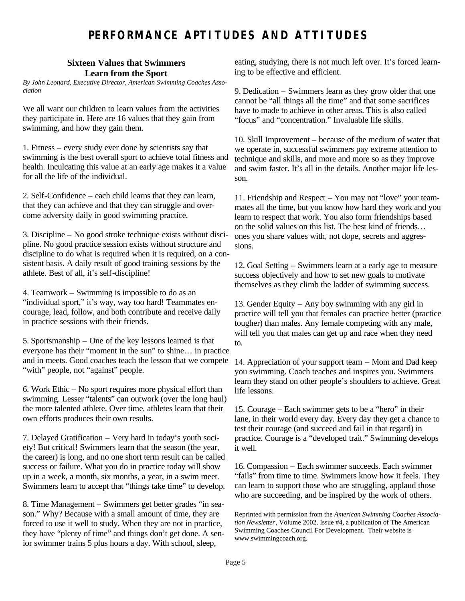## **PERFORMANCE APTITUDES AND ATTITUDES**

### **Sixteen Values that Swimmers Learn from the Sport**

*By John Leonard, Executive Director, American Swimming Coaches Association*

We all want our children to learn values from the activities they participate in. Here are 16 values that they gain from swimming, and how they gain them.

1. Fitness – every study ever done by scientists say that swimming is the best overall sport to achieve total fitness and health. Inculcating this value at an early age makes it a value for all the life of the individual.

2. Self-Confidence – each child learns that they can learn, that they can achieve and that they can struggle and overcome adversity daily in good swimming practice.

3. Discipline – No good stroke technique exists without discipline. No good practice session exists without structure and discipline to do what is required when it is required, on a consistent basis. A daily result of good training sessions by the athlete. Best of all, it's self-discipline!

4. Teamwork – Swimming is impossible to do as an "individual sport," it's way, way too hard! Teammates encourage, lead, follow, and both contribute and receive daily in practice sessions with their friends.

5. Sportsmanship – One of the key lessons learned is that everyone has their "moment in the sun" to shine… in practice and in meets. Good coaches teach the lesson that we compete "with" people, not "against" people.

6. Work Ethic – No sport requires more physical effort than swimming. Lesser "talents" can outwork (over the long haul) the more talented athlete. Over time, athletes learn that their own efforts produces their own results.

7. Delayed Gratification – Very hard in today's youth society! But critical! Swimmers learn that the season (the year, the career) is long, and no one short term result can be called success or failure. What you do in practice today will show up in a week, a month, six months, a year, in a swim meet. Swimmers learn to accept that "things take time" to develop.

8. Time Management – Swimmers get better grades "in season." Why? Because with a small amount of time, they are forced to use it well to study. When they are not in practice, they have "plenty of time" and things don't get done. A senior swimmer trains 5 plus hours a day. With school, sleep,

eating, studying, there is not much left over. It's forced learning to be effective and efficient.

9. Dedication – Swimmers learn as they grow older that one cannot be "all things all the time" and that some sacrifices have to made to achieve in other areas. This is also called "focus" and "concentration." Invaluable life skills.

10. Skill Improvement – because of the medium of water that we operate in, successful swimmers pay extreme attention to technique and skills, and more and more so as they improve and swim faster. It's all in the details. Another major life lesson.

11. Friendship and Respect – You may not "love" your teammates all the time, but you know how hard they work and you learn to respect that work. You also form friendships based on the solid values on this list. The best kind of friends… ones you share values with, not dope, secrets and aggressions.

12. Goal Setting – Swimmers learn at a early age to measure success objectively and how to set new goals to motivate themselves as they climb the ladder of swimming success.

13. Gender Equity – Any boy swimming with any girl in practice will tell you that females can practice better (practice tougher) than males. Any female competing with any male, will tell you that males can get up and race when they need to.

14. Appreciation of your support team – Mom and Dad keep you swimming. Coach teaches and inspires you. Swimmers learn they stand on other people's shoulders to achieve. Great life lessons.

15. Courage – Each swimmer gets to be a "hero" in their lane, in their world every day. Every day they get a chance to test their courage (and succeed and fail in that regard) in practice. Courage is a "developed trait." Swimming develops it well.

16. Compassion – Each swimmer succeeds. Each swimmer "fails" from time to time. Swimmers know how it feels. They can learn to support those who are struggling, applaud those who are succeeding, and be inspired by the work of others.

Reprinted with permission from the *American Swimming Coaches Association Newsletter*, Volume 2002, Issue #4, a publication of The American Swimming Coaches Council For Development. Their website is www.swimmingcoach.org.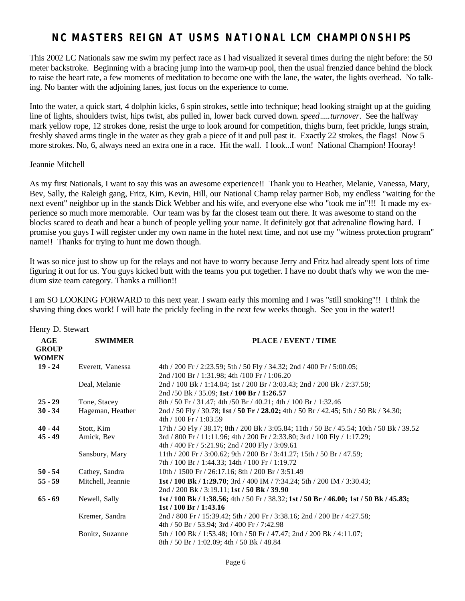### **NC MASTERS REIGN AT USMS NATIONAL LCM CHAMPIONSHIPS**

This 2002 LC Nationals saw me swim my perfect race as I had visualized it several times during the night before: the 50 meter backstroke. Beginning with a bracing jump into the warm-up pool, then the usual frenzied dance behind the block to raise the heart rate, a few moments of meditation to become one with the lane, the water, the lights overhead. No talking. No banter with the adjoining lanes, just focus on the experience to come.

Into the water, a quick start, 4 dolphin kicks, 6 spin strokes, settle into technique; head looking straight up at the guiding line of lights, shoulders twist, hips twist, abs pulled in, lower back curved down. *speed*.....*turnover*. See the halfway mark yellow rope, 12 strokes done, resist the urge to look around for competition, thighs burn, feet prickle, lungs strain, freshly shaved arms tingle in the water as they grab a piece of it and pull past it. Exactly 22 strokes, the flags! Now 5 more strokes. No, 6, always need an extra one in a race. Hit the wall. I look...I won! National Champion! Hooray!

#### Jeannie Mitchell

As my first Nationals, I want to say this was an awesome experience!! Thank you to Heather, Melanie, Vanessa, Mary, Bev, Sally, the Raleigh gang, Fritz, Kim, Kevin, Hill, our National Champ relay partner Bob, my endless "waiting for the next event" neighbor up in the stands Dick Webber and his wife, and everyone else who "took me in"!!! It made my experience so much more memorable. Our team was by far the closest team out there. It was awesome to stand on the blocks scared to death and hear a bunch of people yelling your name. It definitely got that adrenaline flowing hard. I promise you guys I will register under my own name in the hotel next time, and not use my "witness protection program" name!! Thanks for trying to hunt me down though.

It was so nice just to show up for the relays and not have to worry because Jerry and Fritz had already spent lots of time figuring it out for us. You guys kicked butt with the teams you put together. I have no doubt that's why we won the medium size team category. Thanks a million!!

I am SO LOOKING FORWARD to this next year. I swam early this morning and I was "still smoking"!! I think the shaving thing does work! I will hate the prickly feeling in the next few weeks though. See you in the water!!

| Henry D. Stewart                    |                   |                                                                                                                              |
|-------------------------------------|-------------------|------------------------------------------------------------------------------------------------------------------------------|
| AGE<br><b>GROUP</b><br><b>WOMEN</b> | <b>SWIMMER</b>    | PLACE / EVENT / TIME                                                                                                         |
| $19 - 24$                           | Everett, Vanessa  | 4th / 200 Fr / 2:23.59; 5th / 50 Fly / 34.32; 2nd / 400 Fr / 5:00.05;<br>2nd /100 Br / 1:31.98; 4th /100 Fr / 1:06.20        |
|                                     | Deal, Melanie     | 2nd / 100 Bk / 1:14.84; 1st / 200 Br / 3:03.43; 2nd / 200 Bk / 2:37.58;<br>2nd /50 Bk / 35.09; 1st / 100 Br / 1:26.57        |
| $25 - 29$                           | Tone, Stacey      | 8th / 50 Fr / 31.47; 4th / 50 Br / 40.21; 4th / 100 Br / 1:32.46                                                             |
| $30 - 34$                           | Hageman, Heather  | 2nd / 50 Fly / 30.78; 1st / 50 Fr / 28.02; 4th / 50 Br / 42.45; 5th / 50 Bk / 34.30;<br>4th / 100 Fr / 1:03.59               |
| $40 - 44$                           | Stott, Kim        | 17th / 50 Fly / 38.17; 8th / 200 Bk / 3:05.84; 11th / 50 Br / 45.54; 10th / 50 Bk / 39.52                                    |
| $45 - 49$                           | Amick, Bev        | 3rd / 800 Fr / 11:11.96; 4th / 200 Fr / 2:33.80; 3rd / 100 Fly / 1:17.29;<br>4th / 400 Fr / 5:21.96; 2nd / 200 Fly / 3:09.61 |
|                                     | Sansbury, Mary    | 11th / 200 Fr / 3:00.62; 9th / 200 Br / 3:41.27; 15th / 50 Br / 47.59;<br>7th / 100 Br / 1:44.33; 14th / 100 Fr / 1:19.72    |
| $50 - 54$                           | Cathey, Sandra    | 10th / 1500 Fr / 26:17.16; 8th / 200 Br / 3:51.49                                                                            |
| $55 - 59$                           | Mitchell, Jeannie | 1st / 100 Bk / 1:29.70; 3rd / 400 IM / 7:34.24; 5th / 200 IM / 3:30.43;<br>2nd / 200 Bk / 3:19.11; 1st / 50 Bk / 39.90       |
| $65 - 69$                           | Newell, Sally     | 1st / 100 Bk / 1:38.56; 4th / 50 Fr / 38.32; 1st / 50 Br / 46.00; 1st / 50 Bk / 45.83;<br>1st/100 Br/1:43.16                 |
|                                     | Kremer, Sandra    | 2nd / 800 Fr / 15:39.42; 5th / 200 Fr / 3:38.16; 2nd / 200 Br / 4:27.58;<br>4th / 50 Br / 53.94; 3rd / 400 Fr / 7:42.98      |
|                                     | Bonitz, Suzanne   | 5th / 100 Bk / 1:53.48; 10th / 50 Fr / 47.47; 2nd / 200 Bk / 4:11.07;<br>8th / 50 Br / 1:02.09; 4th / 50 Bk / 48.84          |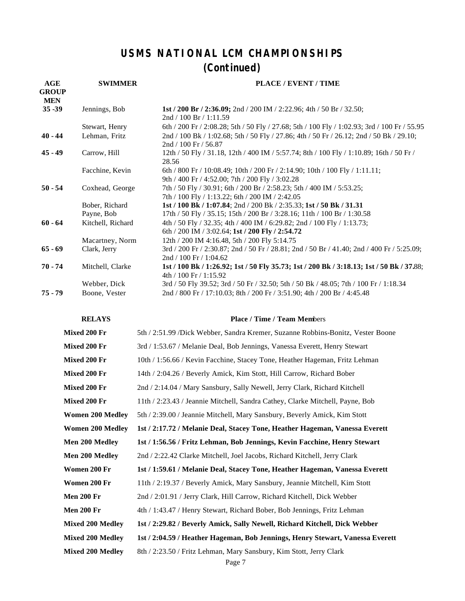## **USMS NATIONAL LCM CHAMPIONSHIPS (Continued)**

| AGE<br><b>GROUP</b><br><b>MEN</b> | <b>SWIMMER</b>               | PLACE / EVENT / TIME                                                                                                                           |
|-----------------------------------|------------------------------|------------------------------------------------------------------------------------------------------------------------------------------------|
| $35 - 39$                         | Jennings, Bob                | 1st / 200 Br / 2:36.09; 2nd / 200 IM / 2:22.96; 4th / 50 Br / 32.50;<br>2nd / 100 Br / 1:11.59                                                 |
|                                   | Stewart, Henry               | 6th / 200 Fr / 2:08.28; 5th / 50 Fly / 27.68; 5th / 100 Fly / 1:02.93; 3rd / 100 Fr / 55.95                                                    |
| $40 - 44$                         | Lehman, Fritz                | 2nd / 100 Bk / 1:02.68; 5th / 50 Fly / 27.86; 4th / 50 Fr / 26.12; 2nd / 50 Bk / 29.10;<br>$2nd / 100$ Fr $/ 56.87$                            |
| $45 - 49$                         | Carrow, Hill                 | 12th / 50 Fly / 31.18, 12th / 400 IM / 5:57.74; 8th / 100 Fly / 1:10.89; 16th / 50 Fr /<br>28.56                                               |
|                                   | Facchine, Kevin              | 6th / 800 Fr / 10:08.49; 10th / 200 Fr / 2:14.90; 10th / 100 Fly / 1:11.11;<br>9th / 400 Fr / 4:52.00; 7th / 200 Fly / 3:02.28                 |
| $50 - 54$                         | Coxhead, George              | 7th / 50 Fly / 30.91; 6th / 200 Br / 2:58.23; 5th / 400 IM / 5:53.25;<br>7th / 100 Fly / 1:13.22; 6th / 200 IM / 2:42.05                       |
|                                   | Bober, Richard<br>Payne, Bob | 1st / 100 Bk / 1:07.84; 2nd / 200 Bk / 2:35.33; 1st / 50 Bk / 31.31<br>17th / 50 Fly / 35.15; 15th / 200 Br / 3:28.16; 11th / 100 Br / 1:30.58 |
| $60 - 64$                         | Kitchell, Richard            | 4th / 50 Fly / 32.35; 4th / 400 IM / 6:29.82; 2nd / 100 Fly / 1:13.73;<br>6th / 200 IM / 3:02.64; 1st / 200 Fly / 2:54.72                      |
|                                   | Macartney, Norm              | 12th / 200 IM 4:16.48, 5th / 200 Fly 5:14.75                                                                                                   |
| $65 - 69$                         | Clark, Jerry                 | 3rd / 200 Fr / 2:30.87; 2nd / 50 Fr / 28.81; 2nd / 50 Br / 41.40; 2nd / 400 Fr / 5:25.09;<br>2nd / 100 Fr / 1:04.62                            |
| $70 - 74$                         | Mitchell, Clarke             | 1st / 100 Bk / 1:26.92; 1st / 50 Fly 35.73; 1st / 200 Bk / 3:18.13; 1st / 50 Bk / 37.88;<br>$4th / 100$ Fr $/ 1:15.92$                         |
|                                   | Webber, Dick                 | 3rd / 50 Fly 39.52; 3rd / 50 Fr / 32.50; 5th / 50 Bk / 48.05; 7th / 100 Fr / 1:18.34                                                           |
| $75 - 79$                         | Boone, Vester                | 2nd / 800 Fr / 17:10.03; 8th / 200 Fr / 3:51.90; 4th / 200 Br / 4:45.48                                                                        |

#### **RELAYS Place / Time / Team Mem**bers

| Mixed 200 Fr            | 5th / 2:51.99 /Dick Webber, Sandra Kremer, Suzanne Robbins-Bonitz, Vester Boone |  |  |
|-------------------------|---------------------------------------------------------------------------------|--|--|
| Mixed 200 Fr            | 3rd / 1:53.67 / Melanie Deal, Bob Jennings, Vanessa Everett, Henry Stewart      |  |  |
| Mixed 200 Fr            | 10th / 1:56.66 / Kevin Facchine, Stacey Tone, Heather Hageman, Fritz Lehman     |  |  |
| Mixed 200 Fr            | 14th / 2:04.26 / Beverly Amick, Kim Stott, Hill Carrow, Richard Bober           |  |  |
| Mixed 200 Fr            | 2nd / 2:14.04 / Mary Sansbury, Sally Newell, Jerry Clark, Richard Kitchell      |  |  |
| Mixed 200 Fr            | 11th / 2:23.43 / Jeannie Mitchell, Sandra Cathey, Clarke Mitchell, Payne, Bob   |  |  |
| <b>Women 200 Medley</b> | 5th / 2:39.00 / Jeannie Mitchell, Mary Sansbury, Beverly Amick, Kim Stott       |  |  |
| <b>Women 200 Medley</b> | 1st / 2:17.72 / Melanie Deal, Stacey Tone, Heather Hageman, Vanessa Everett     |  |  |
| <b>Men 200 Medley</b>   | 1st / 1:56.56 / Fritz Lehman, Bob Jennings, Kevin Facchine, Henry Stewart       |  |  |
| Men 200 Medley          | 2nd / 2:22.42 Clarke Mitchell, Joel Jacobs, Richard Kitchell, Jerry Clark       |  |  |
| Women 200 Fr            | 1st / 1:59.61 / Melanie Deal, Stacey Tone, Heather Hageman, Vanessa Everett     |  |  |
| Women 200 Fr            | 11th / 2:19.37 / Beverly Amick, Mary Sansbury, Jeannie Mitchell, Kim Stott      |  |  |
| <b>Men 200 Fr</b>       | 2nd / 2:01.91 / Jerry Clark, Hill Carrow, Richard Kitchell, Dick Webber         |  |  |
| <b>Men 200 Fr</b>       | 4th / 1:43.47 / Henry Stewart, Richard Bober, Bob Jennings, Fritz Lehman        |  |  |
| <b>Mixed 200 Medley</b> | 1st / 2:29.82 / Beverly Amick, Sally Newell, Richard Kitchell, Dick Webber      |  |  |
| <b>Mixed 200 Medley</b> | 1st / 2:04.59 / Heather Hageman, Bob Jennings, Henry Stewart, Vanessa Everett   |  |  |
| <b>Mixed 200 Medley</b> | 8th / 2:23.50 / Fritz Lehman, Mary Sansbury, Kim Stott, Jerry Clark             |  |  |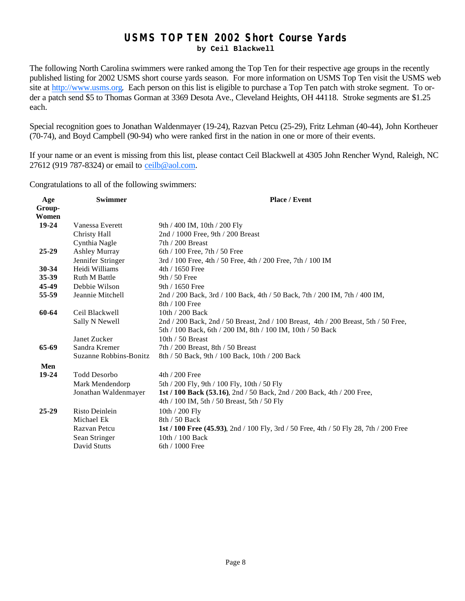### **USMS TOP TEN 2002 Short Course Yards**

**by Ceil Blackwell**

The following North Carolina swimmers were ranked among the Top Ten for their respective age groups in the recently published listing for 2002 USMS short course yards season. For more information on USMS Top Ten visit the USMS web site at http://www.usms.org. Each person on this list is eligible to purchase a Top Ten patch with stroke segment. To order a patch send \$5 to Thomas Gorman at 3369 Desota Ave., Cleveland Heights, OH 44118. Stroke segments are \$1.25 each.

Special recognition goes to Jonathan Waldenmayer (19-24), Razvan Petcu (25-29), Fritz Lehman (40-44), John Kortheuer (70-74), and Boyd Campbell (90-94) who were ranked first in the nation in one or more of their events.

If your name or an event is missing from this list, please contact Ceil Blackwell at 4305 John Rencher Wynd, Raleigh, NC 27612 (919 787-8324) or email to ceilb@aol.com.

Congratulations to all of the following swimmers:

| Age       | <b>Swimmer</b>         | <b>Place / Event</b>                                                                  |
|-----------|------------------------|---------------------------------------------------------------------------------------|
| Group-    |                        |                                                                                       |
| Women     |                        |                                                                                       |
| $19-24$   | Vanessa Everett        | 9th / 400 IM, 10th / 200 Fly                                                          |
|           | Christy Hall           | 2nd / 1000 Free, 9th / 200 Breast                                                     |
|           | Cynthia Nagle          | $7th/200$ Breast                                                                      |
| $25 - 29$ | <b>Ashley Murray</b>   | 6th $/ 100$ Free, 7th $/ 50$ Free                                                     |
|           | Jennifer Stringer      | 3rd / 100 Free, 4th / 50 Free, 4th / 200 Free, 7th / 100 IM                           |
| 30-34     | Heidi Williams         | 4th / 1650 Free                                                                       |
| 35-39     | <b>Ruth M Battle</b>   | 9th / 50 Free                                                                         |
| 45-49     | Debbie Wilson          | 9th / 1650 Free                                                                       |
| 55-59     | Jeannie Mitchell       | 2nd / 200 Back, 3rd / 100 Back, 4th / 50 Back, 7th / 200 IM, 7th / 400 IM,            |
|           |                        | 8th / 100 Free                                                                        |
| 60-64     | Ceil Blackwell         | 10th $/$ 200 Back                                                                     |
|           | Sally N Newell         | 2nd / 200 Back, 2nd / 50 Breast, 2nd / 100 Breast, 4th / 200 Breast, 5th / 50 Free,   |
|           |                        | 5th / 100 Back, 6th / 200 IM, 8th / 100 IM, 10th / 50 Back                            |
|           | Janet Zucker           | 10th $/$ 50 Breast                                                                    |
| 65-69     | Sandra Kremer          | 7th / 200 Breast, 8th / 50 Breast                                                     |
|           | Suzanne Robbins-Bonitz | 8th / 50 Back, 9th / 100 Back, 10th / 200 Back                                        |
| Men       |                        |                                                                                       |
| 19-24     | <b>Todd Desorbo</b>    | 4th / 200 Free                                                                        |
|           | Mark Mendendorp        | 5th / 200 Fly, 9th / 100 Fly, 10th / 50 Fly                                           |
|           | Jonathan Waldenmayer   | 1st / 100 Back (53.16), 2nd / 50 Back, 2nd / 200 Back, 4th / 200 Free,                |
|           |                        | 4th / 100 IM, 5th / 50 Breast, 5th / 50 Fly                                           |
| $25 - 29$ | Risto Deinlein         |                                                                                       |
|           | Michael Ek             | 10th / 200 Fly<br>$8th / 50$ Back                                                     |
|           |                        |                                                                                       |
|           | Razvan Petcu           | 1st / 100 Free (45.93), 2nd / 100 Fly, 3rd / 50 Free, 4th / 50 Fly 28, 7th / 200 Free |
|           | Sean Stringer          | $10th / 100$ Back                                                                     |
|           | <b>David Stutts</b>    | 6th / 1000 Free                                                                       |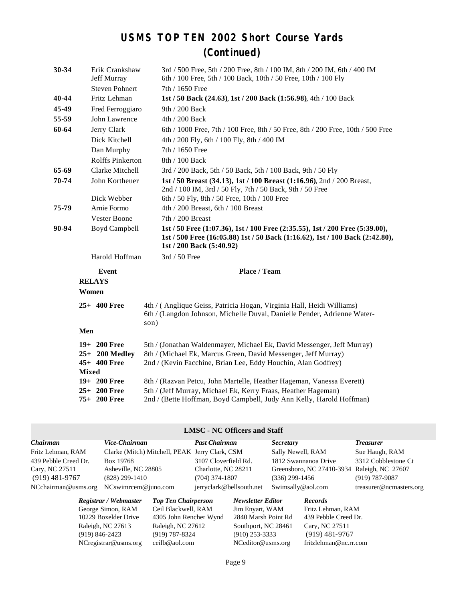### **USMS TOP TEN 2002 Short Course Yards (Continued)**

| 30-34 | Erik Crankshaw<br>Jeff Murray  | 3rd / 500 Free, 5th / 200 Free, 8th / 100 IM, 8th / 200 IM, 6th / 400 IM<br>6th / 100 Free, 5th / 100 Back, 10th / 50 Free, 10th / 100 Fly                                               |
|-------|--------------------------------|------------------------------------------------------------------------------------------------------------------------------------------------------------------------------------------|
|       | <b>Steven Pohnert</b>          | 7th / 1650 Free                                                                                                                                                                          |
| 40-44 | Fritz Lehman                   | 1st / 50 Back (24.63), 1st / 200 Back (1:56.98), 4th / 100 Back                                                                                                                          |
| 45-49 | Fred Ferroggiaro               | 9th / 200 Back                                                                                                                                                                           |
| 55-59 | John Lawrence                  | 4th / 200 Back                                                                                                                                                                           |
| 60-64 | Jerry Clark                    | 6th / 1000 Free, 7th / 100 Free, 8th / 50 Free, 8th / 200 Free, 10th / 500 Free                                                                                                          |
|       | Dick Kitchell                  | 4th / 200 Fly, 6th / 100 Fly, 8th / 400 IM                                                                                                                                               |
|       | Dan Murphy                     | 7th / 1650 Free                                                                                                                                                                          |
|       | Rolffs Pinkerton               | 8th / 100 Back                                                                                                                                                                           |
| 65-69 | Clarke Mitchell                | 3rd / 200 Back, 5th / 50 Back, 5th / 100 Back, 9th / 50 Fly                                                                                                                              |
| 70-74 | John Kortheuer                 | 1st / 50 Breast (34.13), 1st / 100 Breast (1:16.96), 2nd / 200 Breast,<br>2nd / 100 IM, 3rd / 50 Fly, 7th / 50 Back, 9th / 50 Free                                                       |
|       | Dick Webber                    | 6th / 50 Fly, 8th / 50 Free, 10th / 100 Free                                                                                                                                             |
| 75-79 | Arnie Formo                    | 4th / 200 Breast, 6th / 100 Breast                                                                                                                                                       |
|       | <b>Vester Boone</b>            | 7th / 200 Breast                                                                                                                                                                         |
| 90-94 | <b>Boyd Campbell</b>           | 1st / 50 Free (1:07.36), 1st / 100 Free (2:35.55), 1st / 200 Free (5:39.00),<br>1st / 500 Free (16:05.88) 1st / 50 Back (1:16.62), 1st / 100 Back (2:42.80),<br>1st / 200 Back (5:40.92) |
|       | Harold Hoffman                 | 3rd / 50 Free                                                                                                                                                                            |
|       | <b>Event</b>                   | Place / Team                                                                                                                                                                             |
|       | <b>RELAYS</b>                  |                                                                                                                                                                                          |
|       | Women                          |                                                                                                                                                                                          |
|       |                                |                                                                                                                                                                                          |
|       | $25+400$ Free                  | 4th / (Anglique Geiss, Patricia Hogan, Virginia Hall, Heidi Williams)<br>6th / (Langdon Johnson, Michelle Duval, Danielle Pender, Adrienne Water-<br>son)                                |
|       | Men                            |                                                                                                                                                                                          |
|       | 19+ 200 Free                   | 5th / (Jonathan Waldenmayer, Michael Ek, David Messenger, Jeff Murray)                                                                                                                   |
|       | $25+200$ Medley                | 8th / (Michael Ek, Marcus Green, David Messenger, Jeff Murray)                                                                                                                           |
|       | 45+ 400 Free                   | 2nd / (Kevin Facchine, Brian Lee, Eddy Houchin, Alan Godfrey)                                                                                                                            |
|       | <b>Mixed</b>                   |                                                                                                                                                                                          |
|       | $19+200$ Free<br>$25+200$ Free | 8th / (Razvan Petcu, John Martelle, Heather Hageman, Vanessa Everett)<br>5th / (Jeff Murray, Michael Ek, Kerry Fraas, Heather Hageman)                                                   |

#### **LMSC - NC Officers and Staff**

| Chairman             | Vice-Chairman                                  | <b>Past Chairman</b>     | <i>Secretary</i>                            | <i>Treasurer</i>        |
|----------------------|------------------------------------------------|--------------------------|---------------------------------------------|-------------------------|
| Fritz Lehman, RAM    | Clarke (Mitch) Mitchell, PEAK Jerry Clark, CSM |                          | Sally Newell, RAM                           | Sue Haugh, RAM          |
| 439 Pebble Creed Dr. | Box 19768                                      | 3107 Cloverfield Rd.     | 1812 Swannanoa Drive                        | 3312 Cobblestone Ct     |
| Cary, NC 27511       | Asheville, NC 28805                            | Charlotte, NC 28211      | Greensboro, NC 27410-3934 Raleigh, NC 27607 |                         |
| $(919)$ 481-9767     | $(828)$ 299-1410                               | $(704)$ 374-1807         | $(336)$ 299-1456                            | $(919) 787 - 9087$      |
| NCchairman@usms.org  | $NCswim$ cem $@juno.com$                       | jerryclark@bellsouth.net | Swimsally@aol.com                           | treasurer@ncmasters.org |

George Simon, RAM Ceil Blackwell, RAM Jim Enyart, WAM Fritz Lehman, RAM 10229 Boxelder Drive 4305 John Rencher Wynd 2840 Marsh Point Rd 439 Pebble Creed Dr. Raleigh, NC 27613 Raleigh, NC 27612 Southport, NC 28461 Cary, NC 27511 (919) 846-2423 (919) 787-8324 (910) 253-3333 (919) 481-9767 NCregistrar@usms.org ceilb@aol.com NCeditor@usms.org fritzlehman@nc.rr.com

4305 John Rencher Wynd

*Registrar / Webmaster Top Ten Chairperson Newsletter Editor Records*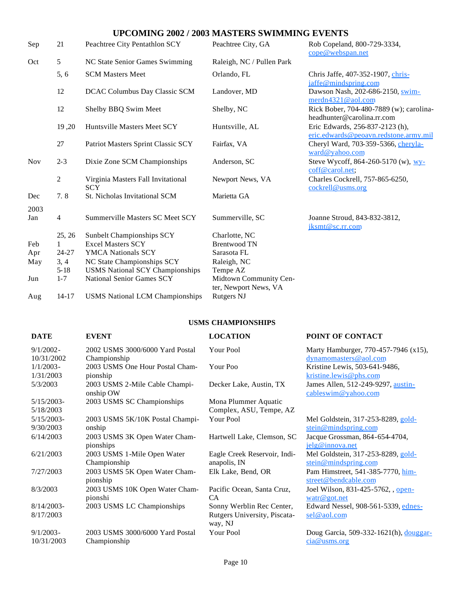### **UPCOMING 2002 / 2003 MASTERS SWIMMING EVENTS**

| Sep         | 21             | Peachtree City Pentathlon SCY                    | Peachtree City, GA                              | Rob Copeland, 800-729-3334,<br>cope@webspan.net                          |
|-------------|----------------|--------------------------------------------------|-------------------------------------------------|--------------------------------------------------------------------------|
| Oct         | 5              | NC State Senior Games Swimming                   | Raleigh, NC / Pullen Park                       |                                                                          |
|             | 5, 6           | <b>SCM Masters Meet</b>                          | Orlando, FL                                     | Chris Jaffe, 407-352-1907, chris-<br>jaffe@mindspring.com                |
|             | 12             | DCAC Columbus Day Classic SCM                    | Landover, MD                                    | Dawson Nash, 202-686-2150, swim-<br>merdn4321@aol.com                    |
|             | 12             | Shelby BBQ Swim Meet                             | Shelby, NC                                      | Rick Bober, 704-480-7889 (w); carolina-<br>headhunter@carolina.rr.com    |
|             | 19,20          | Huntsville Masters Meet SCY                      | Huntsville, AL                                  | Eric Edwards, 256-837-2123 (h),<br>eric.edwards@peoavn.redstone.army.mil |
|             | 27             | Patriot Masters Sprint Classic SCY               | Fairfax, VA                                     | Cheryl Ward, 703-359-5366, <i>cheryla-</i><br>ward@yahoo.com             |
| <b>Nov</b>  | $2 - 3$        | Dixie Zone SCM Championships                     | Anderson, SC                                    | Steve Wycoff, 864-260-5170 (w), $WY$ -<br>coff@carol.net;                |
|             | $\overline{c}$ | Virginia Masters Fall Invitational<br><b>SCY</b> | Newport News, VA                                | Charles Cockrell, 757-865-6250,<br>cockrell@usms.org                     |
| Dec         | 7.8            | St. Nicholas Invitational SCM                    | Marietta GA                                     |                                                                          |
| 2003<br>Jan | $\overline{4}$ | Summerville Masters SC Meet SCY                  | Summerville, SC                                 | Joanne Stroud, 843-832-3812,<br>jksmt@sc.rr.com                          |
|             | 25, 26         | <b>Sunbelt Championships SCY</b>                 | Charlotte, NC                                   |                                                                          |
| Feb         | $\mathbf{1}$   | <b>Excel Masters SCY</b>                         | <b>Brentwood TN</b>                             |                                                                          |
| Apr         | 24-27          | <b>YMCA Nationals SCY</b>                        | Sarasota FL                                     |                                                                          |
| May         | 3, 4           | NC State Championships SCY                       | Raleigh, NC                                     |                                                                          |
|             | $5 - 18$       | <b>USMS National SCY Championships</b>           | Tempe AZ                                        |                                                                          |
| Jun         | $1 - 7$        | <b>National Senior Games SCY</b>                 | Midtown Community Cen-<br>ter, Newport News, VA |                                                                          |
| Aug         | $14 - 17$      | <b>USMS National LCM Championships</b>           | <b>Rutgers NJ</b>                               |                                                                          |

### **USMS CHAMPIONSHIPS**

### **DATE EVENT LOCATION POINT OF CONTACT**

| $9/1/2002$ -  | 2002 USMS 3000/6000 Yard Postal | Your Pool                    | Marty Hamburger, 770-457-7946 (x15),             |
|---------------|---------------------------------|------------------------------|--------------------------------------------------|
| 10/31/2002    | Championship                    |                              | dynamomasters@aol.com                            |
| $1/1/2003 -$  | 2003 USMS One Hour Postal Cham- | Your Poo                     | Kristine Lewis, 503-641-9486,                    |
| 1/31/2003     | pionship                        |                              | kristine.lewis@phs.com                           |
| 5/3/2003      | 2003 USMS 2-Mile Cable Champi-  | Decker Lake, Austin, TX      | James Allen, 512-249-9297, austin-               |
|               | onship OW                       |                              | cableswim@yahoo.com                              |
| $5/15/2003$ - | 2003 USMS SC Championships      | Mona Plummer Aquatic         |                                                  |
| 5/18/2003     |                                 | Complex, ASU, Tempe, AZ      |                                                  |
| $5/15/2003$ - | 2003 USMS 5K/10K Postal Champi- | Your Pool                    | Mel Goldstein, 317-253-8289, gold-               |
| 9/30/2003     | onship                          |                              | stein@mindspring.com                             |
|               |                                 |                              |                                                  |
| 6/14/2003     | 2003 USMS 3K Open Water Cham-   | Hartwell Lake, Clemson, SC   | Jacque Grossman, 864-654-4704,                   |
|               | pionships                       |                              | jelg@innova.net                                  |
| 6/21/2003     | 2003 USMS 1-Mile Open Water     | Eagle Creek Reservoir, Indi- | Mel Goldstein, 317-253-8289, gold-               |
|               | Championship                    | anapolis, IN                 | $\underline{\text{stein} \omega}$ mindspring.com |
| 7/27/2003     | 2003 USMS 5K Open Water Cham-   | Elk Lake, Bend, OR           | Pam Himstreet, 541-385-7770, him-                |
|               | pionship                        |                              | street@bendcable.com                             |
| 8/3/2003      | 2003 USMS 10K Open Water Cham-  | Pacific Ocean, Santa Cruz,   | Joel Wilson, 831-425-5762, open-                 |
|               | pionshi                         | CA                           | $\text{watr}@$ got.net                           |
| $8/14/2003$ - | 2003 USMS LC Championships      | Sonny Werblin Rec Center,    | Edward Nessel, 908-561-5339, ednes-              |
| 8/17/2003     |                                 | Rutgers University, Piscata- | sel@aol.com                                      |
|               |                                 | way, NJ                      |                                                  |
| $9/1/2003 -$  | 2003 USMS 3000/6000 Yard Postal | Your Pool                    | Doug Garcia, 509-332-1621(h), douggar-           |
| 10/31/2003    |                                 |                              |                                                  |
|               | Championship                    |                              | cia@ums.org                                      |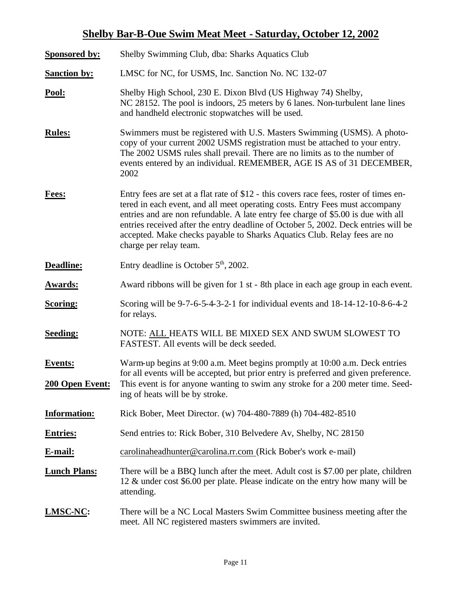### **Shelby Bar-B-Oue Swim Meat Meet - Saturday, October 12, 2002**

| <b>Sponsored by:</b>              | Shelby Swimming Club, dba: Sharks Aquatics Club                                                                                                                                                                                                                                                                                                                                                                                                         |  |
|-----------------------------------|---------------------------------------------------------------------------------------------------------------------------------------------------------------------------------------------------------------------------------------------------------------------------------------------------------------------------------------------------------------------------------------------------------------------------------------------------------|--|
| <b>Sanction by:</b>               | LMSC for NC, for USMS, Inc. Sanction No. NC 132-07                                                                                                                                                                                                                                                                                                                                                                                                      |  |
| Pool:                             | Shelby High School, 230 E. Dixon Blvd (US Highway 74) Shelby,<br>NC 28152. The pool is indoors, 25 meters by 6 lanes. Non-turbulent lane lines<br>and handheld electronic stopwatches will be used.                                                                                                                                                                                                                                                     |  |
| <b>Rules:</b>                     | Swimmers must be registered with U.S. Masters Swimming (USMS). A photo-<br>copy of your current 2002 USMS registration must be attached to your entry.<br>The 2002 USMS rules shall prevail. There are no limits as to the number of<br>events entered by an individual. REMEMBER, AGE IS AS of 31 DECEMBER,<br>2002                                                                                                                                    |  |
| Fees:                             | Entry fees are set at a flat rate of \$12 - this covers race fees, roster of times en-<br>tered in each event, and all meet operating costs. Entry Fees must accompany<br>entries and are non refundable. A late entry fee charge of \$5.00 is due with all<br>entries received after the entry deadline of October 5, 2002. Deck entries will be<br>accepted. Make checks payable to Sharks Aquatics Club. Relay fees are no<br>charge per relay team. |  |
| <b>Deadline:</b>                  | Entry deadline is October $5th$ , 2002.                                                                                                                                                                                                                                                                                                                                                                                                                 |  |
| <b>Awards:</b>                    | Award ribbons will be given for 1 st - 8th place in each age group in each event.                                                                                                                                                                                                                                                                                                                                                                       |  |
| <b>Scoring:</b>                   | Scoring will be 9-7-6-5-4-3-2-1 for individual events and 18-14-12-10-8-6-4-2<br>for relays.                                                                                                                                                                                                                                                                                                                                                            |  |
| <b>Seeding:</b>                   | NOTE: ALL HEATS WILL BE MIXED SEX AND SWUM SLOWEST TO<br>FASTEST. All events will be deck seeded.                                                                                                                                                                                                                                                                                                                                                       |  |
| <b>Events:</b><br>200 Open Event: | Warm-up begins at 9:00 a.m. Meet begins promptly at 10:00 a.m. Deck entries<br>for all events will be accepted, but prior entry is preferred and given preference.<br>This event is for anyone wanting to swim any stroke for a 200 meter time. Seed-<br>ing of heats will be by stroke.                                                                                                                                                                |  |
| <b>Information:</b>               | Rick Bober, Meet Director. (w) 704-480-7889 (h) 704-482-8510                                                                                                                                                                                                                                                                                                                                                                                            |  |
| <b>Entries:</b>                   | Send entries to: Rick Bober, 310 Belvedere Av, Shelby, NC 28150                                                                                                                                                                                                                                                                                                                                                                                         |  |
| E-mail:                           | carolinaheadhunter@carolina.rr.com (Rick Bober's work e-mail)                                                                                                                                                                                                                                                                                                                                                                                           |  |
| <b>Lunch Plans:</b>               | There will be a BBQ lunch after the meet. Adult cost is \$7.00 per plate, children<br>12 & under cost \$6.00 per plate. Please indicate on the entry how many will be<br>attending.                                                                                                                                                                                                                                                                     |  |
| LMSC-NC:                          | There will be a NC Local Masters Swim Committee business meeting after the<br>meet. All NC registered masters swimmers are invited.                                                                                                                                                                                                                                                                                                                     |  |